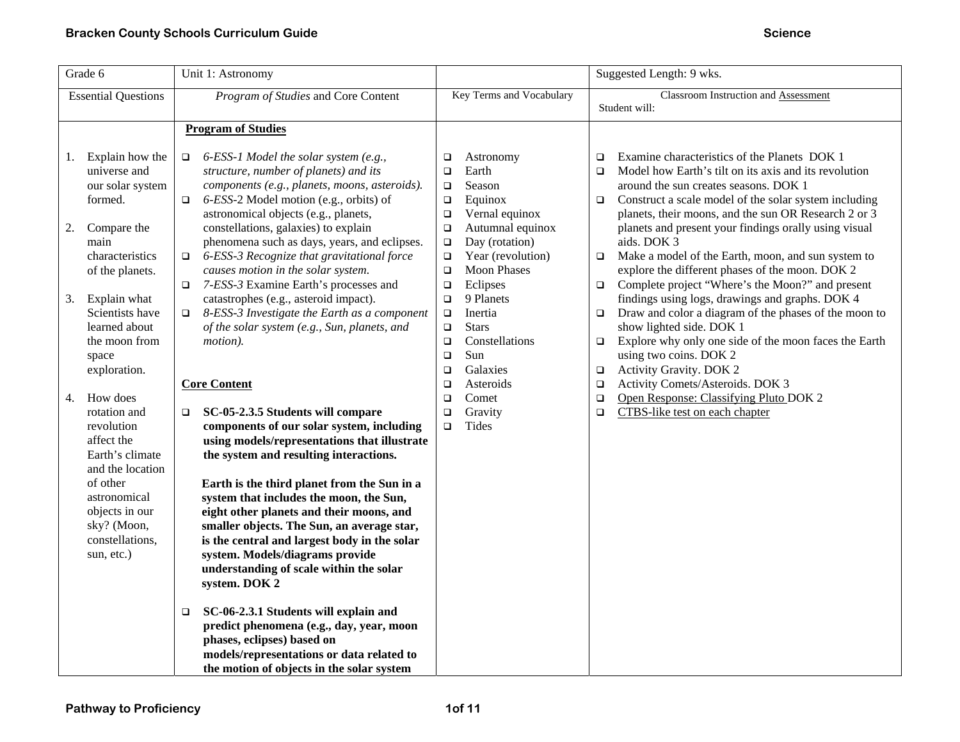| Suggested Length: 9 wks.                                                                                                                                                                                                                                                                                                                                                                                                                                                                                                                                                                                                                                                                                                                                                                                                                                                   |
|----------------------------------------------------------------------------------------------------------------------------------------------------------------------------------------------------------------------------------------------------------------------------------------------------------------------------------------------------------------------------------------------------------------------------------------------------------------------------------------------------------------------------------------------------------------------------------------------------------------------------------------------------------------------------------------------------------------------------------------------------------------------------------------------------------------------------------------------------------------------------|
| <b>Classroom Instruction and Assessment</b><br>Student will:                                                                                                                                                                                                                                                                                                                                                                                                                                                                                                                                                                                                                                                                                                                                                                                                               |
|                                                                                                                                                                                                                                                                                                                                                                                                                                                                                                                                                                                                                                                                                                                                                                                                                                                                            |
| Examine characteristics of the Planets DOK 1<br>Model how Earth's tilt on its axis and its revolution<br>around the sun creates seasons. DOK 1<br>Construct a scale model of the solar system including<br>planets, their moons, and the sun OR Research 2 or 3<br>planets and present your findings orally using visual<br>aids. DOK 3<br>Make a model of the Earth, moon, and sun system to<br>explore the different phases of the moon. DOK 2<br>Complete project "Where's the Moon?" and present<br>findings using logs, drawings and graphs. DOK 4<br>Draw and color a diagram of the phases of the moon to<br>show lighted side. DOK 1<br>Explore why only one side of the moon faces the Earth<br>using two coins. DOK 2<br>Activity Gravity. DOK 2<br>Activity Comets/Asteroids. DOK 3<br>Open Response: Classifying Pluto DOK 2<br>CTBS-like test on each chapter |
|                                                                                                                                                                                                                                                                                                                                                                                                                                                                                                                                                                                                                                                                                                                                                                                                                                                                            |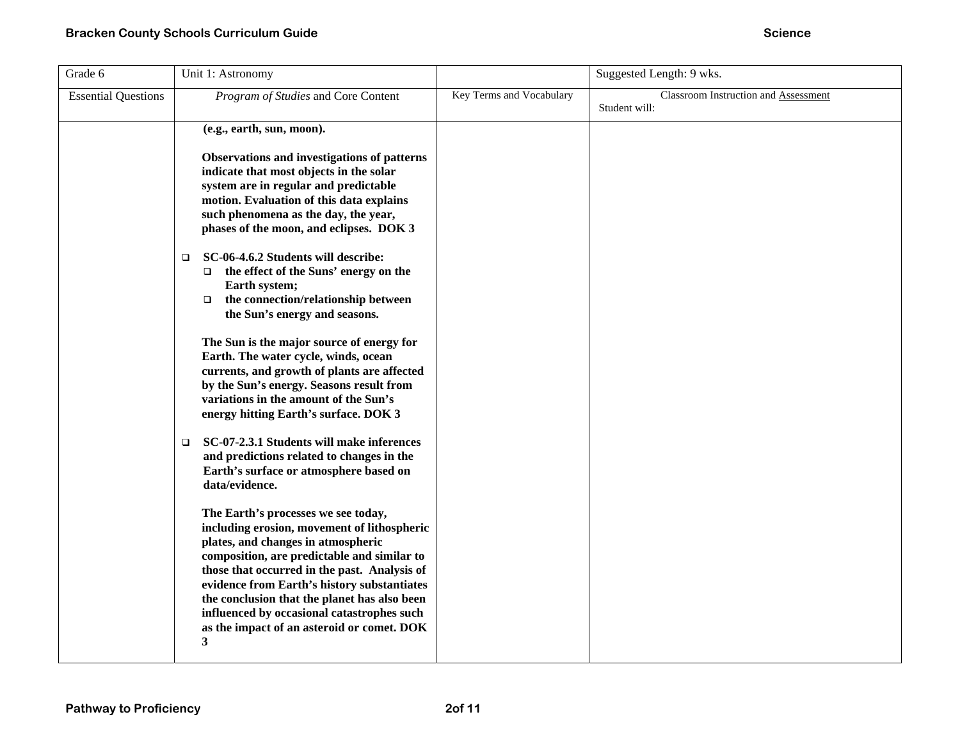| Grade 6                    | Unit 1: Astronomy                                                                                                                                                                                                                                                                                                                                                                                                       |                          | Suggested Length: 9 wks.                              |
|----------------------------|-------------------------------------------------------------------------------------------------------------------------------------------------------------------------------------------------------------------------------------------------------------------------------------------------------------------------------------------------------------------------------------------------------------------------|--------------------------|-------------------------------------------------------|
| <b>Essential Questions</b> | Program of Studies and Core Content                                                                                                                                                                                                                                                                                                                                                                                     | Key Terms and Vocabulary | Classroom Instruction and Assessment<br>Student will: |
|                            | (e.g., earth, sun, moon).                                                                                                                                                                                                                                                                                                                                                                                               |                          |                                                       |
|                            | Observations and investigations of patterns<br>indicate that most objects in the solar<br>system are in regular and predictable<br>motion. Evaluation of this data explains<br>such phenomena as the day, the year,<br>phases of the moon, and eclipses. DOK 3                                                                                                                                                          |                          |                                                       |
|                            | SC-06-4.6.2 Students will describe:<br>$\Box$<br>the effect of the Suns' energy on the<br>$\Box$<br>Earth system;<br>the connection/relationship between<br>$\Box$<br>the Sun's energy and seasons.                                                                                                                                                                                                                     |                          |                                                       |
|                            | The Sun is the major source of energy for<br>Earth. The water cycle, winds, ocean<br>currents, and growth of plants are affected<br>by the Sun's energy. Seasons result from<br>variations in the amount of the Sun's<br>energy hitting Earth's surface. DOK 3                                                                                                                                                          |                          |                                                       |
|                            | SC-07-2.3.1 Students will make inferences<br>$\Box$<br>and predictions related to changes in the<br>Earth's surface or atmosphere based on<br>data/evidence.                                                                                                                                                                                                                                                            |                          |                                                       |
|                            | The Earth's processes we see today,<br>including erosion, movement of lithospheric<br>plates, and changes in atmospheric<br>composition, are predictable and similar to<br>those that occurred in the past. Analysis of<br>evidence from Earth's history substantiates<br>the conclusion that the planet has also been<br>influenced by occasional catastrophes such<br>as the impact of an asteroid or comet. DOK<br>3 |                          |                                                       |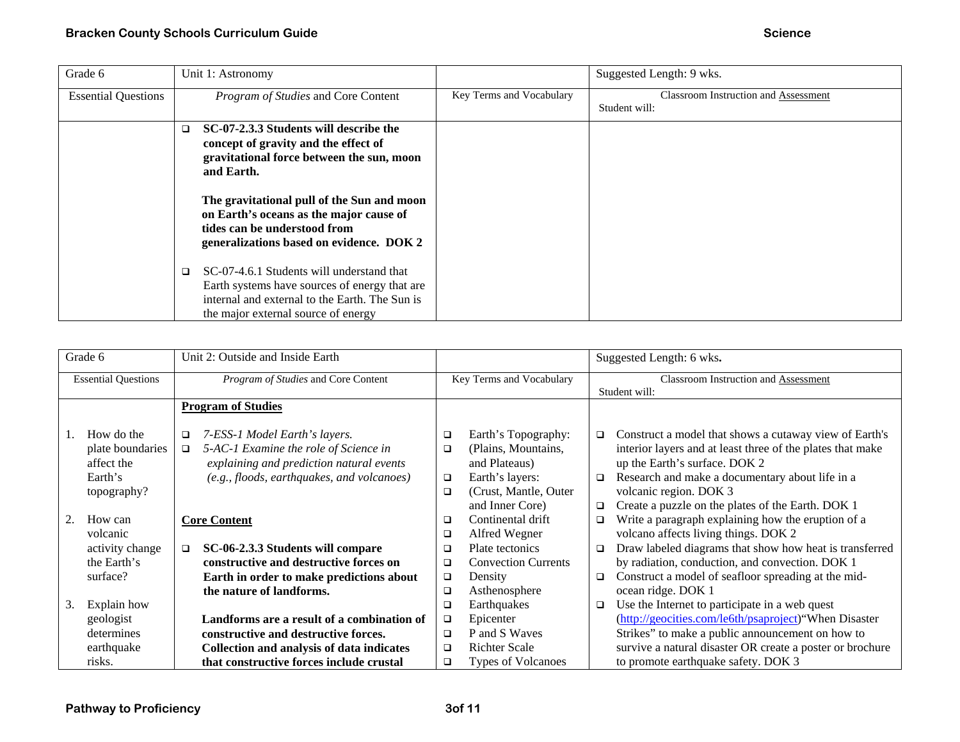| Grade 6                    | Unit 1: Astronomy                                                                                                                                                                             |                          | Suggested Length: 9 wks.                              |
|----------------------------|-----------------------------------------------------------------------------------------------------------------------------------------------------------------------------------------------|--------------------------|-------------------------------------------------------|
| <b>Essential Questions</b> | Program of Studies and Core Content                                                                                                                                                           | Key Terms and Vocabulary | Classroom Instruction and Assessment<br>Student will: |
|                            | SC-07-2.3.3 Students will describe the<br>$\Box$<br>concept of gravity and the effect of<br>gravitational force between the sun, moon<br>and Earth.                                           |                          |                                                       |
|                            | The gravitational pull of the Sun and moon<br>on Earth's oceans as the major cause of<br>tides can be understood from<br>generalizations based on evidence. DOK 2                             |                          |                                                       |
|                            | SC-07-4.6.1 Students will understand that<br>$\Box$<br>Earth systems have sources of energy that are<br>internal and external to the Earth. The Sun is<br>the major external source of energy |                          |                                                       |

| Grade 6                    | Unit 2: Outside and Inside Earth                |                          |                            |                                      | Suggested Length: 6 wks.                                   |
|----------------------------|-------------------------------------------------|--------------------------|----------------------------|--------------------------------------|------------------------------------------------------------|
| <b>Essential Questions</b> | Program of Studies and Core Content             | Key Terms and Vocabulary |                            | Classroom Instruction and Assessment |                                                            |
|                            |                                                 |                          |                            |                                      | Student will:                                              |
|                            | <b>Program of Studies</b>                       |                          |                            |                                      |                                                            |
|                            |                                                 |                          |                            |                                      |                                                            |
| How do the                 | 7-ESS-1 Model Earth's layers.<br>□              | $\Box$                   | Earth's Topography:        | $\Box$                               | Construct a model that shows a cutaway view of Earth's     |
| plate boundaries           | 5-AC-1 Examine the role of Science in<br>$\Box$ | $\Box$                   | (Plains, Mountains,        |                                      | interior layers and at least three of the plates that make |
| affect the                 | explaining and prediction natural events        |                          | and Plateaus)              |                                      | up the Earth's surface. DOK 2                              |
| Earth's                    | (e.g., floods, earthquakes, and volcanoes)      | $\Box$                   | Earth's layers:            | $\Box$                               | Research and make a documentary about life in a            |
| topography?                |                                                 | □                        | (Crust, Mantle, Outer      |                                      | volcanic region. DOK 3                                     |
|                            |                                                 |                          | and Inner Core)            | o                                    | Create a puzzle on the plates of the Earth. DOK 1          |
| How can                    | <b>Core Content</b>                             | $\Box$                   | Continental drift          | $\Box$                               | Write a paragraph explaining how the eruption of a         |
| volcanic                   |                                                 | ❏                        | Alfred Wegner              |                                      | volcano affects living things. DOK 2                       |
| activity change            | SC-06-2.3.3 Students will compare<br>$\Box$     | □                        | Plate tectonics            | $\Box$                               | Draw labeled diagrams that show how heat is transferred    |
| the Earth's                | constructive and destructive forces on          | □                        | <b>Convection Currents</b> |                                      | by radiation, conduction, and convection. DOK 1            |
| surface?                   | Earth in order to make predictions about        | $\Box$                   | Density                    | □                                    | Construct a model of seafloor spreading at the mid-        |
|                            | the nature of landforms.                        | □                        | Asthenosphere              |                                      | ocean ridge. DOK 1                                         |
| Explain how<br>3.          |                                                 | ❏                        | Earthquakes                | о                                    | Use the Internet to participate in a web quest             |
| geologist                  | Landforms are a result of a combination of      | $\Box$                   | Epicenter                  |                                      | (http://geocities.com/le6th/psaproject)"When Disaster      |
| determines                 | constructive and destructive forces.            | $\Box$                   | P and S Waves              |                                      | Strikes" to make a public announcement on how to           |
| earthquake                 | Collection and analysis of data indicates       | $\Box$                   | <b>Richter Scale</b>       |                                      | survive a natural disaster OR create a poster or brochure  |
| risks.                     | that constructive forces include crustal        | $\Box$                   | Types of Volcanoes         |                                      | to promote earthquake safety. DOK 3                        |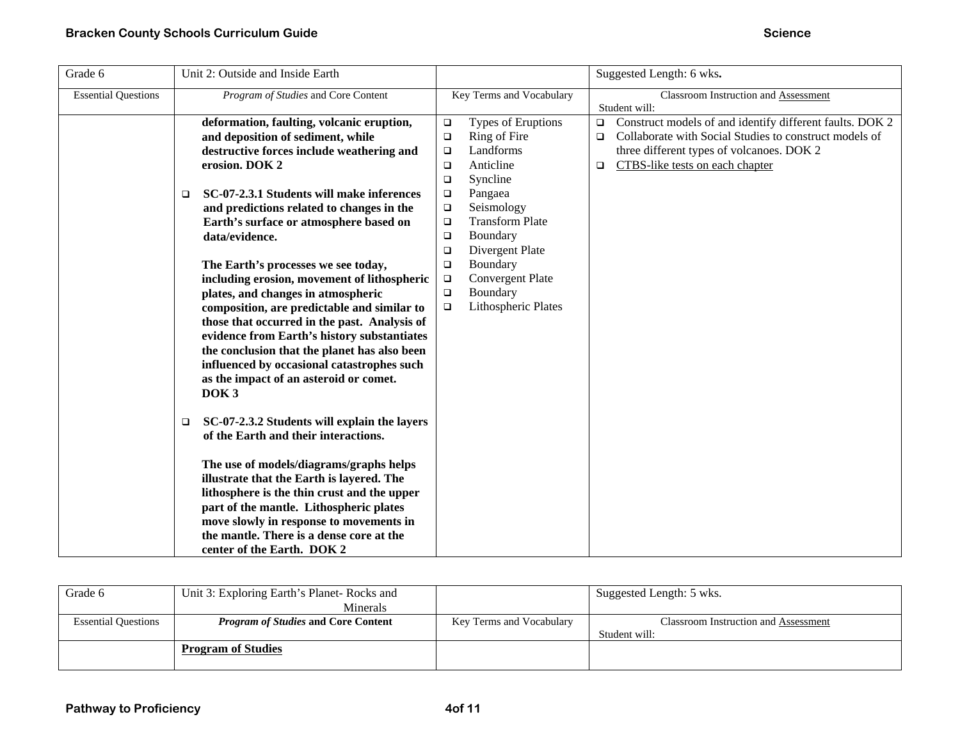| Grade 6                    | Unit 2: Outside and Inside Earth                                                                                                    |        |                          |        | Suggested Length: 6 wks.                                        |
|----------------------------|-------------------------------------------------------------------------------------------------------------------------------------|--------|--------------------------|--------|-----------------------------------------------------------------|
| <b>Essential Questions</b> | Program of Studies and Core Content                                                                                                 |        | Key Terms and Vocabulary |        | Classroom Instruction and Assessment                            |
|                            |                                                                                                                                     |        |                          |        | Student will:                                                   |
|                            | deformation, faulting, volcanic eruption,                                                                                           | $\Box$ | Types of Eruptions       |        | $\Box$ Construct models of and identify different faults. DOK 2 |
|                            | and deposition of sediment, while                                                                                                   | $\Box$ | Ring of Fire             | ◻      | Collaborate with Social Studies to construct models of          |
|                            | destructive forces include weathering and                                                                                           | $\Box$ | Landforms                |        | three different types of volcanoes. DOK 2                       |
|                            | erosion. DOK 2                                                                                                                      | $\Box$ | Anticline                | $\Box$ | CTBS-like tests on each chapter                                 |
|                            |                                                                                                                                     | $\Box$ | Syncline                 |        |                                                                 |
|                            | SC-07-2.3.1 Students will make inferences<br>$\Box$                                                                                 | $\Box$ | Pangaea                  |        |                                                                 |
|                            | and predictions related to changes in the                                                                                           | $\Box$ | Seismology               |        |                                                                 |
|                            | Earth's surface or atmosphere based on                                                                                              | $\Box$ | <b>Transform Plate</b>   |        |                                                                 |
|                            | data/evidence.                                                                                                                      | $\Box$ | Boundary                 |        |                                                                 |
|                            |                                                                                                                                     | $\Box$ | Divergent Plate          |        |                                                                 |
|                            | The Earth's processes we see today,                                                                                                 | $\Box$ | Boundary                 |        |                                                                 |
|                            | including erosion, movement of lithospheric                                                                                         | $\Box$ | <b>Convergent Plate</b>  |        |                                                                 |
|                            | plates, and changes in atmospheric                                                                                                  | □      | Boundary                 |        |                                                                 |
|                            | composition, are predictable and similar to                                                                                         | $\Box$ | Lithospheric Plates      |        |                                                                 |
|                            | those that occurred in the past. Analysis of                                                                                        |        |                          |        |                                                                 |
|                            | evidence from Earth's history substantiates                                                                                         |        |                          |        |                                                                 |
|                            | the conclusion that the planet has also been                                                                                        |        |                          |        |                                                                 |
|                            | influenced by occasional catastrophes such                                                                                          |        |                          |        |                                                                 |
|                            | as the impact of an asteroid or comet.                                                                                              |        |                          |        |                                                                 |
|                            | DOK <sub>3</sub>                                                                                                                    |        |                          |        |                                                                 |
|                            | SC-07-2.3.2 Students will explain the layers<br>$\Box$<br>of the Earth and their interactions.                                      |        |                          |        |                                                                 |
|                            | The use of models/diagrams/graphs helps<br>illustrate that the Earth is layered. The<br>lithosphere is the thin crust and the upper |        |                          |        |                                                                 |
|                            | part of the mantle. Lithospheric plates                                                                                             |        |                          |        |                                                                 |
|                            | move slowly in response to movements in                                                                                             |        |                          |        |                                                                 |
|                            | the mantle. There is a dense core at the<br>center of the Earth. DOK 2                                                              |        |                          |        |                                                                 |

| Grade 6                    | Unit 3: Exploring Earth's Planet-Rocks and |                          | Suggested Length: 5 wks.             |
|----------------------------|--------------------------------------------|--------------------------|--------------------------------------|
|                            | Minerals                                   |                          |                                      |
| <b>Essential Questions</b> | <i>Program of Studies</i> and Core Content | Key Terms and Vocabulary | Classroom Instruction and Assessment |
|                            |                                            |                          | Student will:                        |
|                            | <b>Program of Studies</b>                  |                          |                                      |
|                            |                                            |                          |                                      |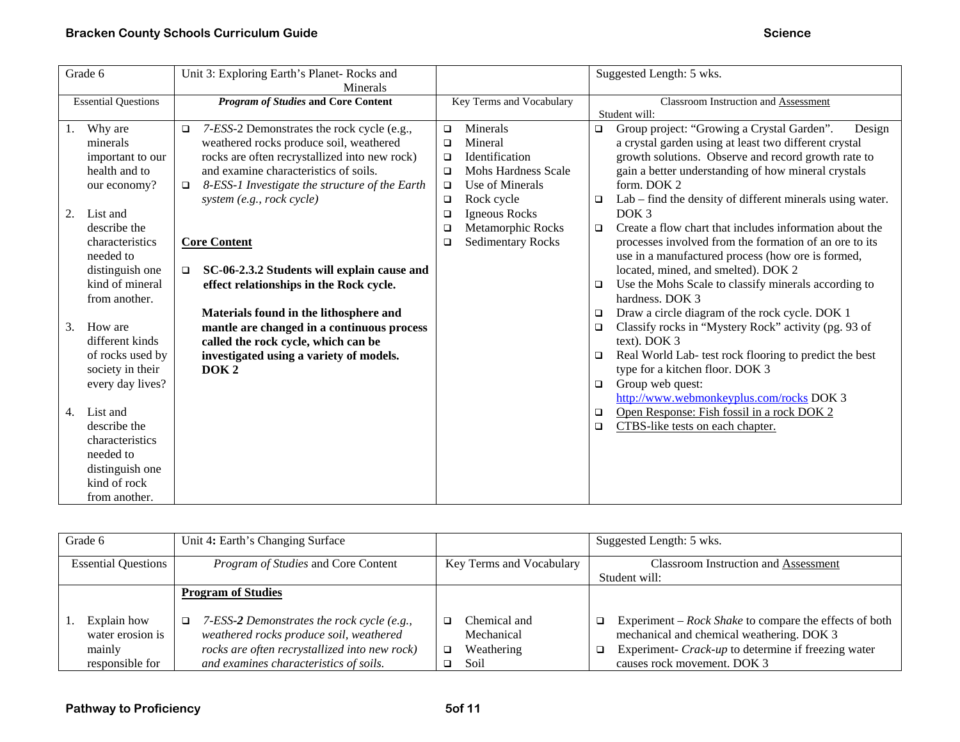|    | Grade 6                                                                                                                                                                  | Unit 3: Exploring Earth's Planet-Rocks and               |        |                          |                  | Suggested Length: 5 wks.                                                                                                                                                                                                                    |
|----|--------------------------------------------------------------------------------------------------------------------------------------------------------------------------|----------------------------------------------------------|--------|--------------------------|------------------|---------------------------------------------------------------------------------------------------------------------------------------------------------------------------------------------------------------------------------------------|
|    |                                                                                                                                                                          | Minerals                                                 |        |                          |                  |                                                                                                                                                                                                                                             |
|    | <b>Essential Questions</b>                                                                                                                                               | <b>Program of Studies and Core Content</b>               |        | Key Terms and Vocabulary |                  | Classroom Instruction and Assessment<br>Student will:                                                                                                                                                                                       |
|    |                                                                                                                                                                          |                                                          |        | Minerals                 |                  |                                                                                                                                                                                                                                             |
| 1. | Why are                                                                                                                                                                  | 7-ESS-2 Demonstrates the rock cycle (e.g.,<br>o          | $\Box$ |                          | $\Box$           | Group project: "Growing a Crystal Garden".<br>Design                                                                                                                                                                                        |
|    | minerals                                                                                                                                                                 | weathered rocks produce soil, weathered                  | $\Box$ | Mineral                  |                  | a crystal garden using at least two different crystal                                                                                                                                                                                       |
|    | important to our                                                                                                                                                         | rocks are often recrystallized into new rock)            | $\Box$ | Identification           |                  | growth solutions. Observe and record growth rate to                                                                                                                                                                                         |
|    | health and to                                                                                                                                                            | and examine characteristics of soils.                    | $\Box$ | Mohs Hardness Scale      |                  | gain a better understanding of how mineral crystals                                                                                                                                                                                         |
|    | our economy?                                                                                                                                                             | 8-ESS-1 Investigate the structure of the Earth<br>$\Box$ | $\Box$ | Use of Minerals          |                  | form. DOK 2                                                                                                                                                                                                                                 |
|    |                                                                                                                                                                          | system (e.g., rock cycle)                                | $\Box$ | Rock cycle               | $\Box$           | Lab – find the density of different minerals using water.                                                                                                                                                                                   |
| 2. | List and                                                                                                                                                                 |                                                          | $\Box$ | Igneous Rocks            |                  | DOK <sub>3</sub>                                                                                                                                                                                                                            |
|    | describe the                                                                                                                                                             |                                                          | $\Box$ | Metamorphic Rocks        | $\Box$           | Create a flow chart that includes information about the                                                                                                                                                                                     |
|    | characteristics                                                                                                                                                          | <b>Core Content</b>                                      | $\Box$ | <b>Sedimentary Rocks</b> |                  | processes involved from the formation of an ore to its                                                                                                                                                                                      |
|    | needed to                                                                                                                                                                |                                                          |        |                          |                  | use in a manufactured process (how ore is formed,                                                                                                                                                                                           |
|    | distinguish one                                                                                                                                                          | SC-06-2.3.2 Students will explain cause and<br>$\Box$    |        |                          |                  | located, mined, and smelted). DOK 2                                                                                                                                                                                                         |
|    | kind of mineral                                                                                                                                                          | effect relationships in the Rock cycle.                  |        |                          | $\Box$           | Use the Mohs Scale to classify minerals according to                                                                                                                                                                                        |
|    | from another.                                                                                                                                                            |                                                          |        |                          |                  | hardness. DOK 3                                                                                                                                                                                                                             |
|    |                                                                                                                                                                          | Materials found in the lithosphere and                   |        |                          | $\Box$           | Draw a circle diagram of the rock cycle. DOK 1                                                                                                                                                                                              |
| 3. | How are                                                                                                                                                                  | mantle are changed in a continuous process               |        |                          | $\Box$           | Classify rocks in "Mystery Rock" activity (pg. 93 of                                                                                                                                                                                        |
|    | different kinds                                                                                                                                                          | called the rock cycle, which can be                      |        |                          |                  | text). DOK 3                                                                                                                                                                                                                                |
|    |                                                                                                                                                                          |                                                          |        |                          | $\Box$           |                                                                                                                                                                                                                                             |
|    |                                                                                                                                                                          | DOK <sub>2</sub>                                         |        |                          |                  |                                                                                                                                                                                                                                             |
|    |                                                                                                                                                                          |                                                          |        |                          | $\Box$           |                                                                                                                                                                                                                                             |
|    |                                                                                                                                                                          |                                                          |        |                          |                  |                                                                                                                                                                                                                                             |
| 4. |                                                                                                                                                                          |                                                          |        |                          |                  |                                                                                                                                                                                                                                             |
|    |                                                                                                                                                                          |                                                          |        |                          |                  |                                                                                                                                                                                                                                             |
|    |                                                                                                                                                                          |                                                          |        |                          |                  |                                                                                                                                                                                                                                             |
|    |                                                                                                                                                                          |                                                          |        |                          |                  |                                                                                                                                                                                                                                             |
|    |                                                                                                                                                                          |                                                          |        |                          |                  |                                                                                                                                                                                                                                             |
|    |                                                                                                                                                                          |                                                          |        |                          |                  |                                                                                                                                                                                                                                             |
|    |                                                                                                                                                                          |                                                          |        |                          |                  |                                                                                                                                                                                                                                             |
|    | of rocks used by<br>society in their<br>every day lives?<br>List and<br>describe the<br>characteristics<br>needed to<br>distinguish one<br>kind of rock<br>from another. | investigated using a variety of models.                  |        |                          | $\Box$<br>$\Box$ | Real World Lab- test rock flooring to predict the best<br>type for a kitchen floor. DOK 3<br>Group web quest:<br>http://www.webmonkeyplus.com/rocks DOK 3<br>Open Response: Fish fossil in a rock DOK 2<br>CTBS-like tests on each chapter. |

| Grade 6                                                      | Unit 4: Earth's Changing Surface                                                                                                                                                           |                                                       | Suggested Length: 5 wks.                                                                                                                                                                             |
|--------------------------------------------------------------|--------------------------------------------------------------------------------------------------------------------------------------------------------------------------------------------|-------------------------------------------------------|------------------------------------------------------------------------------------------------------------------------------------------------------------------------------------------------------|
| <b>Essential Questions</b>                                   | <i>Program of Studies</i> and Core Content                                                                                                                                                 | Key Terms and Vocabulary                              | <b>Classroom Instruction and Assessment</b>                                                                                                                                                          |
|                                                              |                                                                                                                                                                                            |                                                       | Student will:                                                                                                                                                                                        |
|                                                              | <b>Program of Studies</b>                                                                                                                                                                  |                                                       |                                                                                                                                                                                                      |
| Explain how<br>water erosion is<br>mainly<br>responsible for | 7-ESS-2 Demonstrates the rock cycle (e.g.,<br>$\Box$<br>weathered rocks produce soil, weathered<br>rocks are often recrystallized into new rock)<br>and examines characteristics of soils. | Chemical and<br>Mechanical<br>Weathering<br>□<br>Soil | Experiment – $Rock\, Shakespeare$ the effects of both<br>o.<br>mechanical and chemical weathering. DOK 3<br>Experiment- Crack-up to determine if freezing water<br>o.<br>causes rock movement. DOK 3 |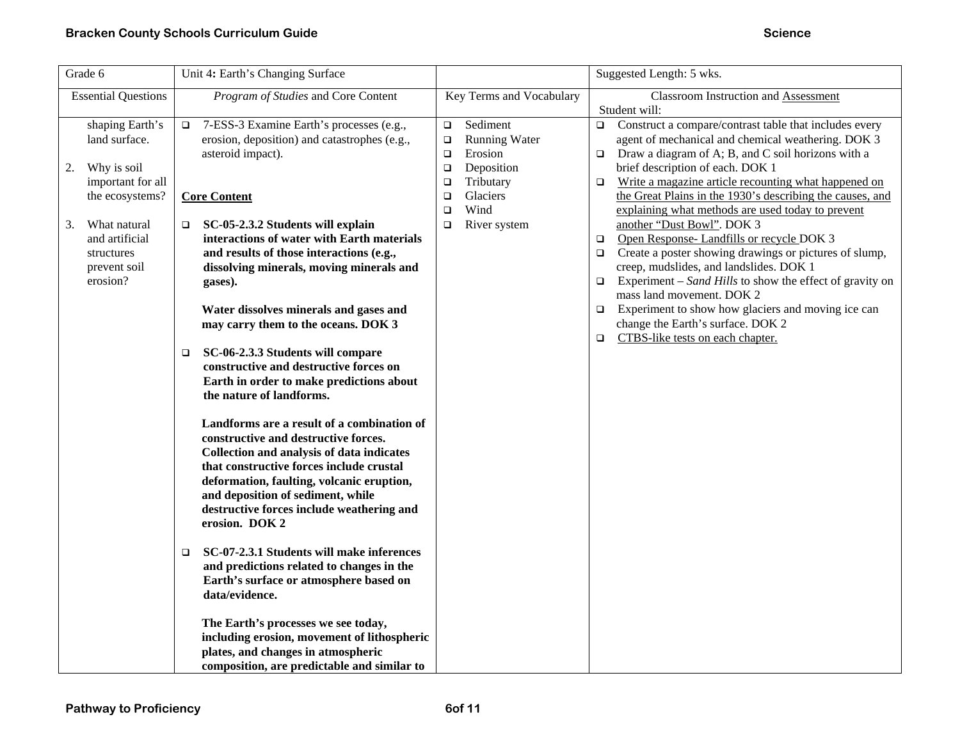| Grade 6                                                                                           | Unit 4: Earth's Changing Surface                                                                                                                                                                                                                                                                                                                                                                                                                                                                                                                                                                                                                                                                                                                                                                  |                                                                                                                                                | Suggested Length: 5 wks.                                                                                                                                                                                                                                                                                                                                                                                                                                                                               |
|---------------------------------------------------------------------------------------------------|---------------------------------------------------------------------------------------------------------------------------------------------------------------------------------------------------------------------------------------------------------------------------------------------------------------------------------------------------------------------------------------------------------------------------------------------------------------------------------------------------------------------------------------------------------------------------------------------------------------------------------------------------------------------------------------------------------------------------------------------------------------------------------------------------|------------------------------------------------------------------------------------------------------------------------------------------------|--------------------------------------------------------------------------------------------------------------------------------------------------------------------------------------------------------------------------------------------------------------------------------------------------------------------------------------------------------------------------------------------------------------------------------------------------------------------------------------------------------|
| <b>Essential Questions</b>                                                                        | Program of Studies and Core Content                                                                                                                                                                                                                                                                                                                                                                                                                                                                                                                                                                                                                                                                                                                                                               | Key Terms and Vocabulary                                                                                                                       | <b>Classroom Instruction and Assessment</b><br>Student will:                                                                                                                                                                                                                                                                                                                                                                                                                                           |
| shaping Earth's<br>land surface.<br>Why is soil<br>2.<br>important for all                        | 7-ESS-3 Examine Earth's processes (e.g.,<br>$\Box$<br>erosion, deposition) and catastrophes (e.g.,<br>asteroid impact).                                                                                                                                                                                                                                                                                                                                                                                                                                                                                                                                                                                                                                                                           | Sediment<br>$\Box$<br><b>Running Water</b><br>$\Box$<br>Erosion<br>$\Box$<br>Deposition<br>$\Box$<br>Tributary<br>$\Box$<br>$\Box$<br>Glaciers | Construct a compare/contrast table that includes every<br>$\Box$<br>agent of mechanical and chemical weathering. DOK 3<br>Draw a diagram of A; B, and C soil horizons with a<br>$\Box$<br>brief description of each. DOK 1<br>Write a magazine article recounting what happened on<br>$\Box$<br>the Great Plains in the 1930's describing the causes, and                                                                                                                                              |
| the ecosystems?<br>What natural<br>3.<br>and artificial<br>structures<br>prevent soil<br>erosion? | <b>Core Content</b><br>SC-05-2.3.2 Students will explain<br>o.<br>interactions of water with Earth materials<br>and results of those interactions (e.g.,<br>dissolving minerals, moving minerals and<br>gases).<br>Water dissolves minerals and gases and<br>may carry them to the oceans. DOK 3<br>SC-06-2.3.3 Students will compare<br>$\Box$<br>constructive and destructive forces on<br>Earth in order to make predictions about<br>the nature of landforms.<br>Landforms are a result of a combination of<br>constructive and destructive forces.<br>Collection and analysis of data indicates<br>that constructive forces include crustal<br>deformation, faulting, volcanic eruption,<br>and deposition of sediment, while<br>destructive forces include weathering and<br>erosion. DOK 2 | Wind<br>$\Box$<br>River system<br>$\Box$                                                                                                       | explaining what methods are used today to prevent<br>another "Dust Bowl". DOK 3<br>Open Response-Landfills or recycle DOK 3<br>$\Box$<br>Create a poster showing drawings or pictures of slump,<br>$\Box$<br>creep, mudslides, and landslides. DOK 1<br>Experiment – Sand Hills to show the effect of gravity on<br>$\Box$<br>mass land movement. DOK 2<br>Experiment to show how glaciers and moving ice can<br>$\Box$<br>change the Earth's surface. DOK 2<br>CTBS-like tests on each chapter.<br>O. |
|                                                                                                   | SC-07-2.3.1 Students will make inferences<br>$\Box$<br>and predictions related to changes in the<br>Earth's surface or atmosphere based on<br>data/evidence.                                                                                                                                                                                                                                                                                                                                                                                                                                                                                                                                                                                                                                      |                                                                                                                                                |                                                                                                                                                                                                                                                                                                                                                                                                                                                                                                        |
|                                                                                                   | The Earth's processes we see today,<br>including erosion, movement of lithospheric<br>plates, and changes in atmospheric<br>composition, are predictable and similar to                                                                                                                                                                                                                                                                                                                                                                                                                                                                                                                                                                                                                           |                                                                                                                                                |                                                                                                                                                                                                                                                                                                                                                                                                                                                                                                        |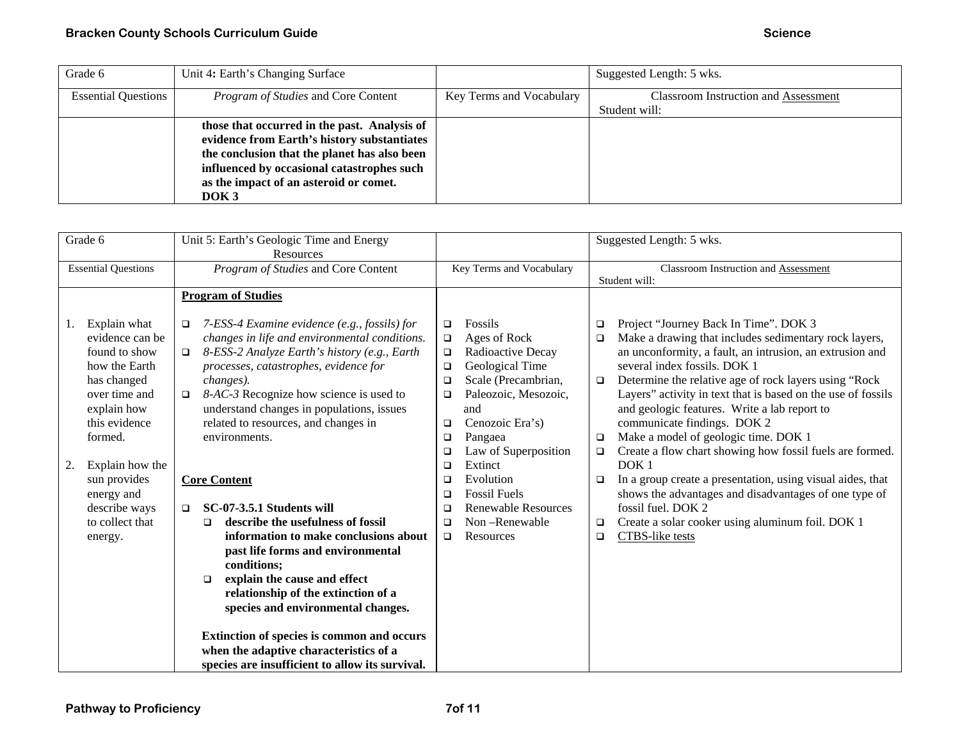| Grade 6                    | Unit 4: Earth's Changing Surface             |                          | Suggested Length: 5 wks.             |
|----------------------------|----------------------------------------------|--------------------------|--------------------------------------|
| <b>Essential Questions</b> | <i>Program of Studies</i> and Core Content   | Key Terms and Vocabulary | Classroom Instruction and Assessment |
|                            |                                              |                          | Student will:                        |
|                            | those that occurred in the past. Analysis of |                          |                                      |
|                            | evidence from Earth's history substantiates  |                          |                                      |
|                            | the conclusion that the planet has also been |                          |                                      |
|                            | influenced by occasional catastrophes such   |                          |                                      |
|                            | as the impact of an asteroid or comet.       |                          |                                      |
|                            | DOK <sub>3</sub>                             |                          |                                      |

| Grade 6                    |                                 | Unit 5: Earth's Geologic Time and Energy<br>Resources                                                   |                  |                            |             | Suggested Length: 5 wks.                                                                       |
|----------------------------|---------------------------------|---------------------------------------------------------------------------------------------------------|------------------|----------------------------|-------------|------------------------------------------------------------------------------------------------|
| <b>Essential Questions</b> |                                 | Program of Studies and Core Content                                                                     |                  | Key Terms and Vocabulary   |             | Classroom Instruction and Assessment<br>Student will:                                          |
|                            |                                 | <b>Program of Studies</b>                                                                               |                  | Fossils                    |             |                                                                                                |
| 1.                         | Explain what<br>evidence can be | 7-ESS-4 Examine evidence (e.g., fossils) for<br>$\Box$<br>changes in life and environmental conditions. | $\Box$<br>$\Box$ | Ages of Rock               | ❏<br>$\Box$ | Project "Journey Back In Time". DOK 3<br>Make a drawing that includes sedimentary rock layers, |
|                            | found to show                   | 8-ESS-2 Analyze Earth's history (e.g., Earth<br>$\Box$                                                  | $\Box$           | Radioactive Decay          |             | an unconformity, a fault, an intrusion, an extrusion and                                       |
|                            | how the Earth                   | processes, catastrophes, evidence for                                                                   | $\Box$           | Geological Time            |             | several index fossils. DOK 1                                                                   |
|                            | has changed                     | changes).                                                                                               | $\Box$           | Scale (Precambrian,        | $\Box$      | Determine the relative age of rock layers using "Rock                                          |
|                            | over time and                   | 8-AC-3 Recognize how science is used to<br>$\Box$                                                       | $\Box$           | Paleozoic, Mesozoic,       |             | Layers" activity in text that is based on the use of fossils                                   |
|                            | explain how                     | understand changes in populations, issues                                                               |                  | and                        |             | and geologic features. Write a lab report to                                                   |
|                            | this evidence                   | related to resources, and changes in                                                                    | $\Box$           | Cenozoic Era's)            |             | communicate findings. DOK 2                                                                    |
|                            | formed.                         | environments.                                                                                           | $\Box$           | Pangaea                    | $\Box$      | Make a model of geologic time. DOK 1                                                           |
|                            |                                 |                                                                                                         | $\Box$           | Law of Superposition       | $\Box$      | Create a flow chart showing how fossil fuels are formed.                                       |
| 2.                         | Explain how the                 |                                                                                                         | $\Box$           | Extinct                    |             | DOK <sub>1</sub>                                                                               |
|                            | sun provides                    | <b>Core Content</b>                                                                                     | $\Box$           | Evolution                  | $\Box$      | In a group create a presentation, using visual aides, that                                     |
|                            | energy and                      |                                                                                                         | $\Box$           | <b>Fossil Fuels</b>        |             | shows the advantages and disadvantages of one type of                                          |
|                            | describe ways                   | SC-07-3.5.1 Students will<br>$\Box$                                                                     | □                | <b>Renewable Resources</b> |             | fossil fuel. DOK 2                                                                             |
|                            | to collect that                 | describe the usefulness of fossil<br>◻                                                                  | $\Box$           | Non-Renewable<br>Resources | $\Box$      | Create a solar cooker using aluminum foil. DOK 1                                               |
|                            | energy.                         | information to make conclusions about<br>past life forms and environmental                              | $\Box$           |                            | $\Box$      | CTBS-like tests                                                                                |
|                            |                                 | conditions;                                                                                             |                  |                            |             |                                                                                                |
|                            |                                 | explain the cause and effect<br>$\Box$                                                                  |                  |                            |             |                                                                                                |
|                            |                                 | relationship of the extinction of a                                                                     |                  |                            |             |                                                                                                |
|                            |                                 | species and environmental changes.                                                                      |                  |                            |             |                                                                                                |
|                            |                                 |                                                                                                         |                  |                            |             |                                                                                                |
|                            |                                 | Extinction of species is common and occurs                                                              |                  |                            |             |                                                                                                |
|                            |                                 | when the adaptive characteristics of a                                                                  |                  |                            |             |                                                                                                |
|                            |                                 | species are insufficient to allow its survival.                                                         |                  |                            |             |                                                                                                |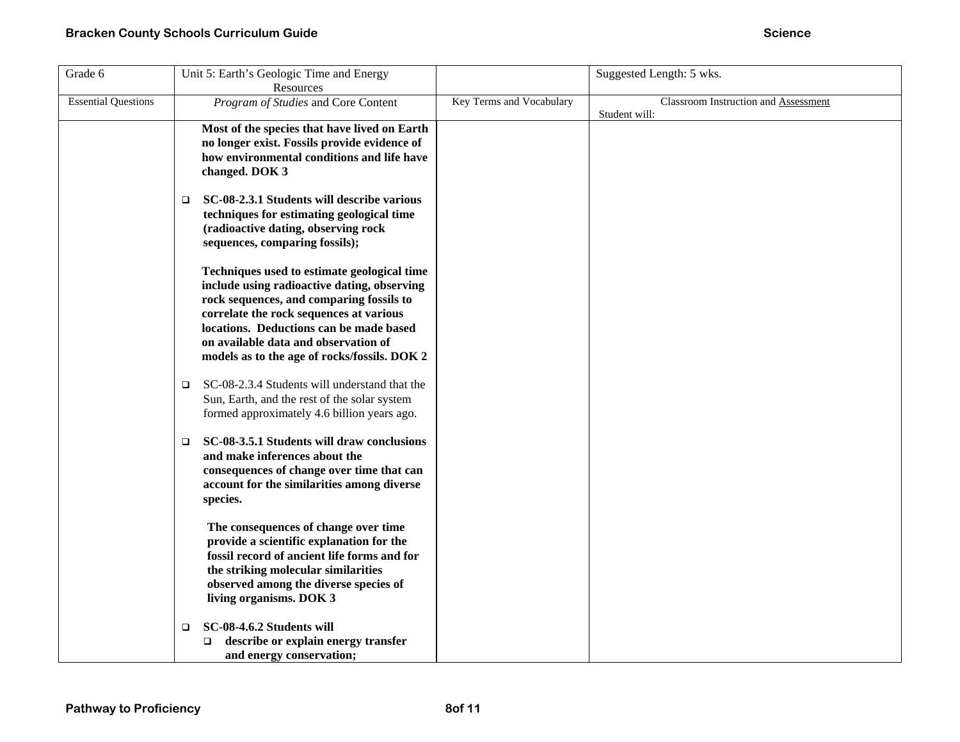| Grade 6                    | Unit 5: Earth's Geologic Time and Energy<br>Resources                                                                                                                                                                                                                                                                |                          | Suggested Length: 5 wks.                              |
|----------------------------|----------------------------------------------------------------------------------------------------------------------------------------------------------------------------------------------------------------------------------------------------------------------------------------------------------------------|--------------------------|-------------------------------------------------------|
| <b>Essential Questions</b> | Program of Studies and Core Content                                                                                                                                                                                                                                                                                  | Key Terms and Vocabulary | Classroom Instruction and Assessment<br>Student will: |
|                            | Most of the species that have lived on Earth<br>no longer exist. Fossils provide evidence of<br>how environmental conditions and life have<br>changed. DOK 3                                                                                                                                                         |                          |                                                       |
|                            | SC-08-2.3.1 Students will describe various<br>❏<br>techniques for estimating geological time<br>(radioactive dating, observing rock<br>sequences, comparing fossils);                                                                                                                                                |                          |                                                       |
|                            | Techniques used to estimate geological time<br>include using radioactive dating, observing<br>rock sequences, and comparing fossils to<br>correlate the rock sequences at various<br>locations. Deductions can be made based<br>on available data and observation of<br>models as to the age of rocks/fossils. DOK 2 |                          |                                                       |
|                            | SC-08-2.3.4 Students will understand that the<br>$\Box$<br>Sun, Earth, and the rest of the solar system<br>formed approximately 4.6 billion years ago.                                                                                                                                                               |                          |                                                       |
|                            | SC-08-3.5.1 Students will draw conclusions<br>$\Box$<br>and make inferences about the<br>consequences of change over time that can<br>account for the similarities among diverse<br>species.                                                                                                                         |                          |                                                       |
|                            | The consequences of change over time<br>provide a scientific explanation for the<br>fossil record of ancient life forms and for<br>the striking molecular similarities<br>observed among the diverse species of<br>living organisms. DOK 3                                                                           |                          |                                                       |
|                            | SC-08-4.6.2 Students will<br>□<br>describe or explain energy transfer<br>□<br>and energy conservation;                                                                                                                                                                                                               |                          |                                                       |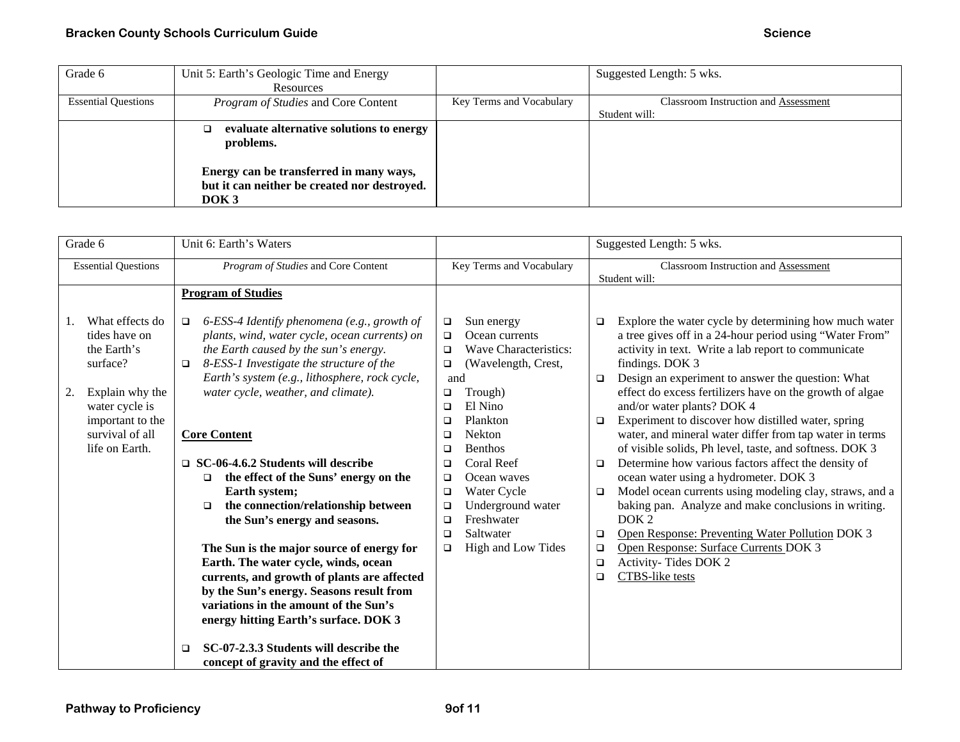| Grade 6                    | Unit 5: Earth's Geologic Time and Energy     |                          | Suggested Length: 5 wks.                    |
|----------------------------|----------------------------------------------|--------------------------|---------------------------------------------|
|                            | Resources                                    |                          |                                             |
| <b>Essential Questions</b> | <i>Program of Studies</i> and Core Content   | Key Terms and Vocabulary | <b>Classroom Instruction and Assessment</b> |
|                            |                                              |                          | Student will:                               |
|                            | evaluate alternative solutions to energy     |                          |                                             |
|                            | problems.                                    |                          |                                             |
|                            |                                              |                          |                                             |
|                            | Energy can be transferred in many ways,      |                          |                                             |
|                            | but it can neither be created nor destroyed. |                          |                                             |
|                            | DOK <sub>3</sub>                             |                          |                                             |

| Grade 6                                                                                                                                                         | Unit 6: Earth's Waters                                                                                                                                                                                                                                                                                                                                                                                                                                                                                                                                                                        |                                                                                                                                                                                                                                                                                                                                                                                                         | Suggested Length: 5 wks.                                                                                                                                                                                                                                                                                                                                                                                                                                                                                                                                                                                                                                                                                                                                                                                                                                                                              |  |
|-----------------------------------------------------------------------------------------------------------------------------------------------------------------|-----------------------------------------------------------------------------------------------------------------------------------------------------------------------------------------------------------------------------------------------------------------------------------------------------------------------------------------------------------------------------------------------------------------------------------------------------------------------------------------------------------------------------------------------------------------------------------------------|---------------------------------------------------------------------------------------------------------------------------------------------------------------------------------------------------------------------------------------------------------------------------------------------------------------------------------------------------------------------------------------------------------|-------------------------------------------------------------------------------------------------------------------------------------------------------------------------------------------------------------------------------------------------------------------------------------------------------------------------------------------------------------------------------------------------------------------------------------------------------------------------------------------------------------------------------------------------------------------------------------------------------------------------------------------------------------------------------------------------------------------------------------------------------------------------------------------------------------------------------------------------------------------------------------------------------|--|
| <b>Essential Questions</b>                                                                                                                                      | Program of Studies and Core Content                                                                                                                                                                                                                                                                                                                                                                                                                                                                                                                                                           | Key Terms and Vocabulary                                                                                                                                                                                                                                                                                                                                                                                | Classroom Instruction and Assessment<br>Student will:                                                                                                                                                                                                                                                                                                                                                                                                                                                                                                                                                                                                                                                                                                                                                                                                                                                 |  |
| What effects do<br>tides have on<br>the Earth's<br>surface?<br>Explain why the<br>2.<br>water cycle is<br>important to the<br>survival of all<br>life on Earth. | <b>Program of Studies</b><br>6-ESS-4 Identify phenomena (e.g., growth of<br>$\Box$<br>plants, wind, water cycle, ocean currents) on<br>the Earth caused by the sun's energy.<br>8-ESS-1 Investigate the structure of the<br>$\Box$<br>Earth's system (e.g., lithosphere, rock cycle,<br>water cycle, weather, and climate).<br><b>Core Content</b><br>$\Box$ SC-06-4.6.2 Students will describe<br>the effect of the Suns' energy on the<br>□<br>Earth system;<br>the connection/relationship between<br>$\Box$<br>the Sun's energy and seasons.<br>The Sun is the major source of energy for | Sun energy<br>□<br>Ocean currents<br>$\Box$<br>Wave Characteristics:<br>$\Box$<br>(Wavelength, Crest,<br>$\Box$<br>and<br>Trough)<br>□<br>El Nino<br>$\Box$<br>Plankton<br>$\Box$<br><b>Nekton</b><br>□<br><b>Benthos</b><br>$\Box$<br>Coral Reef<br>❏<br>Ocean waves<br>□<br>Water Cycle<br>$\Box$<br>Underground water<br>$\Box$<br>Freshwater<br>$\Box$<br>Saltwater<br>□<br>High and Low Tides<br>□ | Explore the water cycle by determining how much water<br>□<br>a tree gives off in a 24-hour period using "Water From"<br>activity in text. Write a lab report to communicate<br>findings. DOK 3<br>Design an experiment to answer the question: What<br>$\Box$<br>effect do excess fertilizers have on the growth of algae<br>and/or water plants? DOK 4<br>Experiment to discover how distilled water, spring<br>$\Box$<br>water, and mineral water differ from tap water in terms<br>of visible solids, Ph level, taste, and softness. DOK 3<br>Determine how various factors affect the density of<br>❏<br>ocean water using a hydrometer. DOK 3<br>Model ocean currents using modeling clay, straws, and a<br>□<br>baking pan. Analyze and make conclusions in writing.<br>DOK <sub>2</sub><br>Open Response: Preventing Water Pollution DOK 3<br>□<br>Open Response: Surface Currents DOK 3<br>□ |  |
|                                                                                                                                                                 | Earth. The water cycle, winds, ocean<br>currents, and growth of plants are affected                                                                                                                                                                                                                                                                                                                                                                                                                                                                                                           |                                                                                                                                                                                                                                                                                                                                                                                                         | Activity-Tides DOK 2<br>$\Box$<br>CTBS-like tests<br>$\Box$                                                                                                                                                                                                                                                                                                                                                                                                                                                                                                                                                                                                                                                                                                                                                                                                                                           |  |
|                                                                                                                                                                 | by the Sun's energy. Seasons result from<br>variations in the amount of the Sun's<br>energy hitting Earth's surface. DOK 3                                                                                                                                                                                                                                                                                                                                                                                                                                                                    |                                                                                                                                                                                                                                                                                                                                                                                                         |                                                                                                                                                                                                                                                                                                                                                                                                                                                                                                                                                                                                                                                                                                                                                                                                                                                                                                       |  |
|                                                                                                                                                                 | SC-07-2.3.3 Students will describe the<br>□<br>concept of gravity and the effect of                                                                                                                                                                                                                                                                                                                                                                                                                                                                                                           |                                                                                                                                                                                                                                                                                                                                                                                                         |                                                                                                                                                                                                                                                                                                                                                                                                                                                                                                                                                                                                                                                                                                                                                                                                                                                                                                       |  |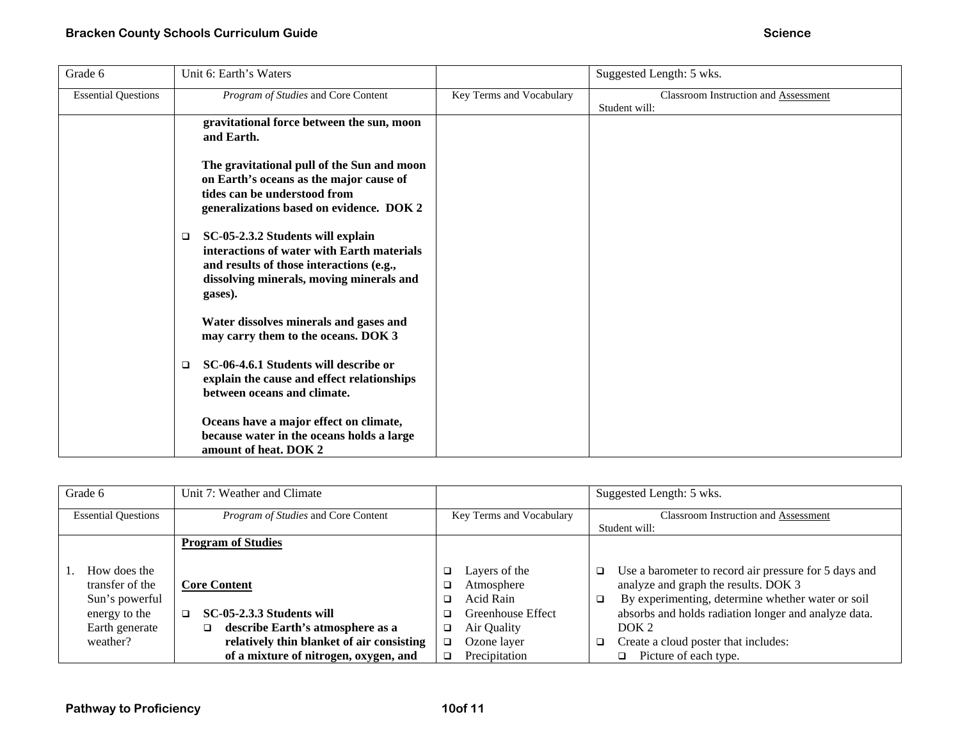| Grade 6                    | Unit 6: Earth's Waters                                                                                                                                                                       |                          | Suggested Length: 5 wks.                              |
|----------------------------|----------------------------------------------------------------------------------------------------------------------------------------------------------------------------------------------|--------------------------|-------------------------------------------------------|
| <b>Essential Questions</b> | Program of Studies and Core Content                                                                                                                                                          | Key Terms and Vocabulary | Classroom Instruction and Assessment<br>Student will: |
|                            | gravitational force between the sun, moon<br>and Earth.                                                                                                                                      |                          |                                                       |
|                            | The gravitational pull of the Sun and moon<br>on Earth's oceans as the major cause of<br>tides can be understood from<br>generalizations based on evidence. DOK 2                            |                          |                                                       |
|                            | SC-05-2.3.2 Students will explain<br>$\Box$<br>interactions of water with Earth materials<br>and results of those interactions (e.g.,<br>dissolving minerals, moving minerals and<br>gases). |                          |                                                       |
|                            | Water dissolves minerals and gases and<br>may carry them to the oceans. DOK 3                                                                                                                |                          |                                                       |
|                            | SC-06-4.6.1 Students will describe or<br>□<br>explain the cause and effect relationships<br>between oceans and climate.                                                                      |                          |                                                       |
|                            | Oceans have a major effect on climate,<br>because water in the oceans holds a large<br>amount of heat. DOK 2                                                                                 |                          |                                                       |

| Grade 6                    | Unit 7: Weather and Climate               |                          | Suggested Length: 5 wks.                                        |  |
|----------------------------|-------------------------------------------|--------------------------|-----------------------------------------------------------------|--|
| <b>Essential Questions</b> | Program of Studies and Core Content       | Key Terms and Vocabulary | <b>Classroom Instruction and Assessment</b>                     |  |
|                            |                                           |                          | Student will:                                                   |  |
|                            | <b>Program of Studies</b>                 |                          |                                                                 |  |
|                            |                                           |                          |                                                                 |  |
| How does the               |                                           | Layers of the<br>❏       | Use a barometer to record air pressure for 5 days and<br>$\Box$ |  |
| transfer of the            | <b>Core Content</b>                       | Atmosphere               | analyze and graph the results. DOK 3                            |  |
| Sun's powerful             |                                           | Acid Rain                | By experimenting, determine whether water or soil<br>$\Box$     |  |
| energy to the              | SC-05-2.3.3 Students will                 | Greenhouse Effect        | absorbs and holds radiation longer and analyze data.            |  |
| Earth generate             | describe Earth's atmosphere as a<br>□     | Air Quality              | DOK <sub>2</sub>                                                |  |
| weather?                   | relatively thin blanket of air consisting | Ozone layer<br>$\Box$    | Create a cloud poster that includes:<br>□                       |  |
|                            | of a mixture of nitrogen, oxygen, and     | Precipitation            | Picture of each type.<br>◻                                      |  |